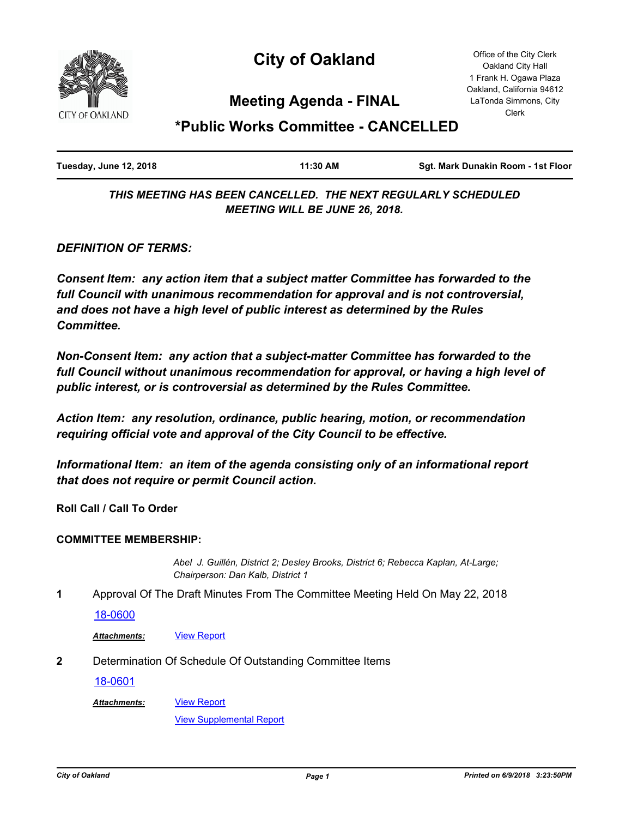

# **City of Oakland**

Office of the City Clerk Oakland City Hall 1 Frank H. Ogawa Plaza Oakland, California 94612 LaTonda Simmons, City Clerk

# **Meeting Agenda - FINAL**

# **\*Public Works Committee - CANCELLED**

| Tuesday, June 12, 2018 | 11:30 AM | Sqt. Mark Dunakin Room - 1st Floor |
|------------------------|----------|------------------------------------|
|                        |          |                                    |

*THIS MEETING HAS BEEN CANCELLED. THE NEXT REGULARLY SCHEDULED MEETING WILL BE JUNE 26, 2018.*

*DEFINITION OF TERMS:*

*Consent Item: any action item that a subject matter Committee has forwarded to the full Council with unanimous recommendation for approval and is not controversial, and does not have a high level of public interest as determined by the Rules Committee.*

*Non-Consent Item: any action that a subject-matter Committee has forwarded to the*  full Council without unanimous recommendation for approval, or having a high level of *public interest, or is controversial as determined by the Rules Committee.*

*Action Item: any resolution, ordinance, public hearing, motion, or recommendation requiring official vote and approval of the City Council to be effective.*

*Informational Item: an item of the agenda consisting only of an informational report that does not require or permit Council action.*

**Roll Call / Call To Order**

### **COMMITTEE MEMBERSHIP:**

*Abel J. Guillén, District 2; Desley Brooks, District 6; Rebecca Kaplan, At-Large; Chairperson: Dan Kalb, District 1*

**1** Approval Of The Draft Minutes From The Committee Meeting Held On May 22, 2018

[18-0600](http://oakland.legistar.com/gateway.aspx?m=l&id=/matter.aspx?key=29034)

*Attachments:* [View Report](http://oakland.legistar.com/gateway.aspx?M=F&ID=18db002d-b505-4faa-963a-71fc0edc08ed.pdf)

**2** Determination Of Schedule Of Outstanding Committee Items

[18-0601](http://oakland.legistar.com/gateway.aspx?m=l&id=/matter.aspx?key=29035)

*Attachments:*

[View Supplemental Report](http://oakland.legistar.com/gateway.aspx?M=F&ID=fea6c8d2-c47e-4586-9c00-572430d18813.pdf)

[View Report](http://oakland.legistar.com/gateway.aspx?M=F&ID=c0e141a6-b266-4b64-a4e5-69bc6f52c228.pdf)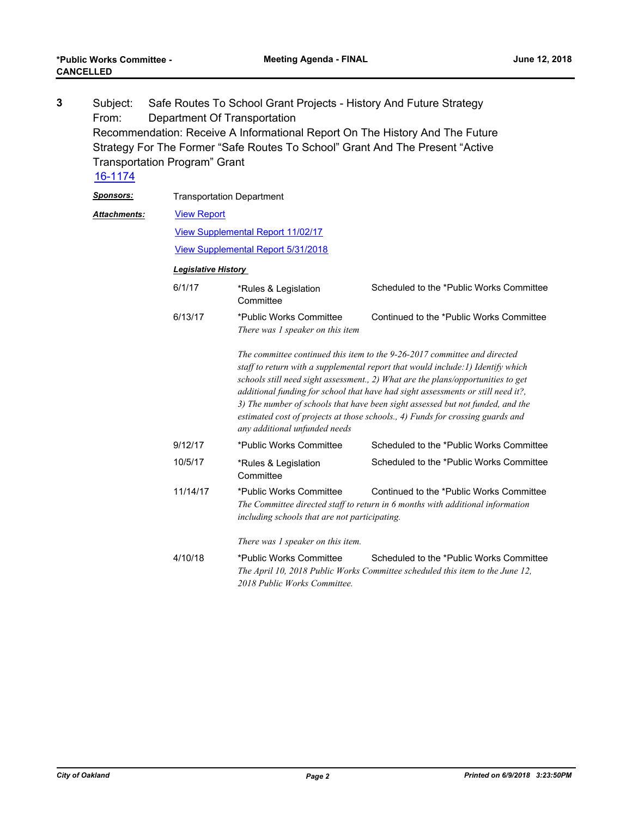Subject: Safe Routes To School Grant Projects - History And Future Strategy From: Department Of Transportation Recommendation: Receive A Informational Report On The History And The Future Strategy For The Former "Safe Routes To School" Grant And The Present "Active Transportation Program" Grant **3** [16-1174](http://oakland.legistar.com/gateway.aspx?m=l&id=/matter.aspx?key=27721)

| <b>Sponsors:</b>    | <b>Transportation Department</b>                                                      |                                                                                                                                                                                                                                                                                                                                                                                                                                                                                                                                            |                                                                                                                                                                             |  |
|---------------------|---------------------------------------------------------------------------------------|--------------------------------------------------------------------------------------------------------------------------------------------------------------------------------------------------------------------------------------------------------------------------------------------------------------------------------------------------------------------------------------------------------------------------------------------------------------------------------------------------------------------------------------------|-----------------------------------------------------------------------------------------------------------------------------------------------------------------------------|--|
| <b>Attachments:</b> | <b>View Report</b>                                                                    |                                                                                                                                                                                                                                                                                                                                                                                                                                                                                                                                            |                                                                                                                                                                             |  |
|                     | <b>View Supplemental Report 11/02/17</b><br><b>View Supplemental Report 5/31/2018</b> |                                                                                                                                                                                                                                                                                                                                                                                                                                                                                                                                            |                                                                                                                                                                             |  |
|                     |                                                                                       |                                                                                                                                                                                                                                                                                                                                                                                                                                                                                                                                            |                                                                                                                                                                             |  |
|                     | <b>Legislative History</b>                                                            |                                                                                                                                                                                                                                                                                                                                                                                                                                                                                                                                            |                                                                                                                                                                             |  |
|                     | 6/1/17                                                                                | *Rules & Legislation<br>Committee                                                                                                                                                                                                                                                                                                                                                                                                                                                                                                          | Scheduled to the *Public Works Committee                                                                                                                                    |  |
|                     | 6/13/17                                                                               | *Public Works Committee<br>There was 1 speaker on this item                                                                                                                                                                                                                                                                                                                                                                                                                                                                                | Continued to the *Public Works Committee                                                                                                                                    |  |
|                     |                                                                                       | The committee continued this item to the 9-26-2017 committee and directed<br>staff to return with a supplemental report that would include: 1) Identify which<br>schools still need sight assessment., 2) What are the plans/opportunities to get<br>additional funding for school that have had sight assessments or still need it?,<br>3) The number of schools that have been sight assessed but not funded, and the<br>estimated cost of projects at those schools., 4) Funds for crossing guards and<br>any additional unfunded needs |                                                                                                                                                                             |  |
|                     | 9/12/17                                                                               | *Public Works Committee                                                                                                                                                                                                                                                                                                                                                                                                                                                                                                                    | Scheduled to the *Public Works Committee                                                                                                                                    |  |
|                     | 10/5/17                                                                               | *Rules & Legislation<br>Committee                                                                                                                                                                                                                                                                                                                                                                                                                                                                                                          | Scheduled to the *Public Works Committee                                                                                                                                    |  |
|                     | 11/14/17                                                                              | *Public Works Committee                                                                                                                                                                                                                                                                                                                                                                                                                                                                                                                    | Continued to the *Public Works Committee<br>The Committee directed staff to return in 6 months with additional information<br>including schools that are not participating. |  |
|                     |                                                                                       | There was 1 speaker on this item.                                                                                                                                                                                                                                                                                                                                                                                                                                                                                                          |                                                                                                                                                                             |  |
|                     | 4/10/18                                                                               | *Public Works Committee<br>2018 Public Works Committee.                                                                                                                                                                                                                                                                                                                                                                                                                                                                                    | Scheduled to the *Public Works Committee<br>The April 10, 2018 Public Works Committee scheduled this item to the June 12,                                                   |  |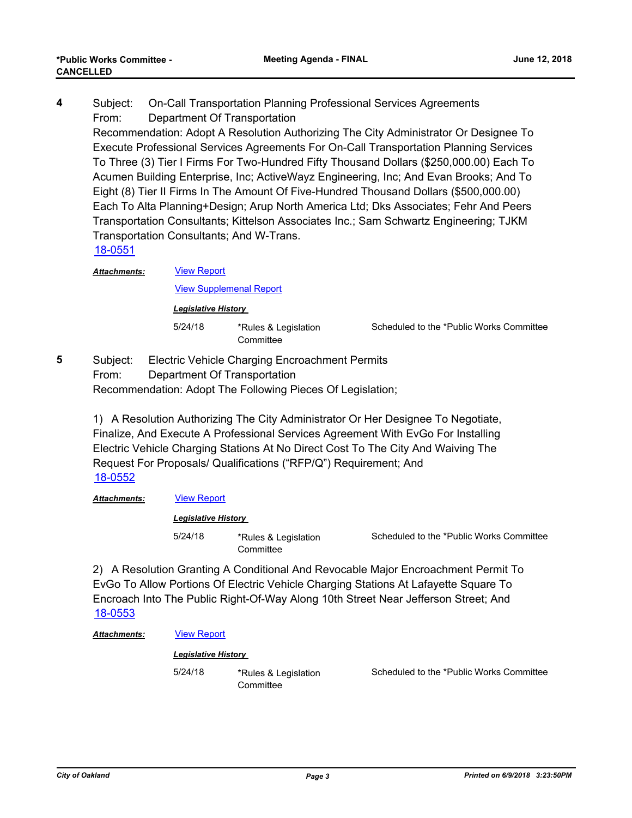Subject: On-Call Transportation Planning Professional Services Agreements From: Department Of Transportation Recommendation: Adopt A Resolution Authorizing The City Administrator Or Designee To Execute Professional Services Agreements For On-Call Transportation Planning Services To Three (3) Tier I Firms For Two-Hundred Fifty Thousand Dollars (\$250,000.00) Each To Acumen Building Enterprise, Inc; ActiveWayz Engineering, Inc; And Evan Brooks; And To Eight (8) Tier II Firms In The Amount Of Five-Hundred Thousand Dollars (\$500,000.00) Each To Alta Planning+Design; Arup North America Ltd; Dks Associates; Fehr And Peers Transportation Consultants; Kittelson Associates Inc.; Sam Schwartz Engineering; TJKM Transportation Consultants; And W-Trans. **4** [18-0551](http://oakland.legistar.com/gateway.aspx?m=l&id=/matter.aspx?key=28986)

[View Report](http://oakland.legistar.com/gateway.aspx?M=F&ID=121c4f57-75c8-4cb0-974f-80e407e56542.pdf) *Attachments:*

[View Supplemenal Report](http://oakland.legistar.com/gateway.aspx?M=F&ID=f542f8f1-545e-4466-95d2-516ca8cb9d8d.pdf)

*Legislative History* 

5/24/18 \*Rules & Legislation **Committee** 

Scheduled to the \*Public Works Committee

Subject: Electric Vehicle Charging Encroachment Permits From: Department Of Transportation Recommendation: Adopt The Following Pieces Of Legislation; **5**

> 1) A Resolution Authorizing The City Administrator Or Her Designee To Negotiate, Finalize, And Execute A Professional Services Agreement With EvGo For Installing Electric Vehicle Charging Stations At No Direct Cost To The City And Waiving The Request For Proposals/ Qualifications ("RFP/Q") Requirement; And [18-0552](http://oakland.legistar.com/gateway.aspx?m=l&id=/matter.aspx?key=28987)

### *Attachments:* [View Report](http://oakland.legistar.com/gateway.aspx?M=F&ID=4765c644-a0d5-4062-8a4a-339909fcac55.pdf)

#### *Legislative History*

5/24/18 \*Rules & Legislation **Committee** 

Scheduled to the \*Public Works Committee

2) A Resolution Granting A Conditional And Revocable Major Encroachment Permit To EvGo To Allow Portions Of Electric Vehicle Charging Stations At Lafayette Square To Encroach Into The Public Right-Of-Way Along 10th Street Near Jefferson Street; And [18-0553](http://oakland.legistar.com/gateway.aspx?m=l&id=/matter.aspx?key=28988)

*Attachments:* [View Report](http://oakland.legistar.com/gateway.aspx?M=F&ID=a3e4faed-66d7-4d3e-96e2-5646033d1419.pdf)

#### *Legislative History*

5/24/18 \*Rules & Legislation **Committee** 

Scheduled to the \*Public Works Committee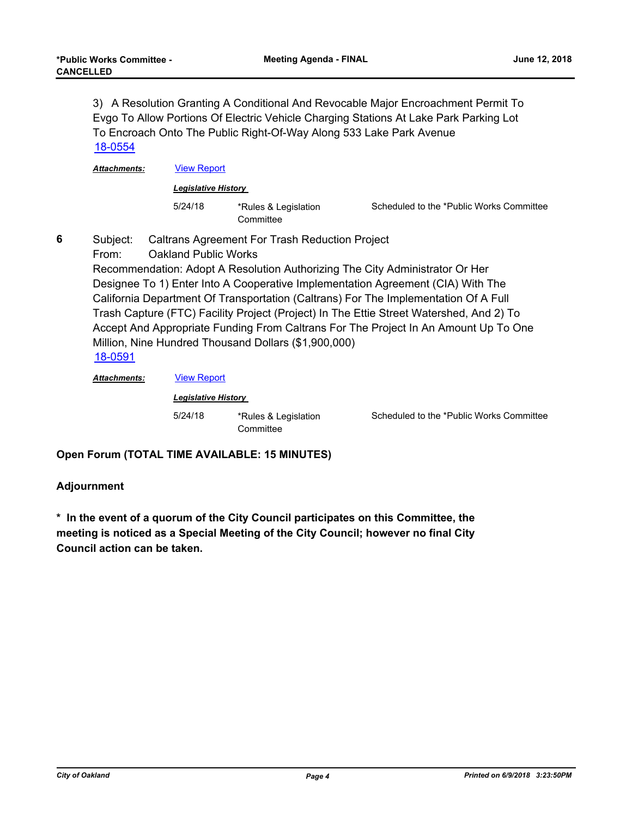3) A Resolution Granting A Conditional And Revocable Major Encroachment Permit To Evgo To Allow Portions Of Electric Vehicle Charging Stations At Lake Park Parking Lot To Encroach Onto The Public Right-Of-Way Along 533 Lake Park Avenue [18-0554](http://oakland.legistar.com/gateway.aspx?m=l&id=/matter.aspx?key=28989)

*Attachments:* [View Report](http://oakland.legistar.com/gateway.aspx?M=F&ID=e453f5d2-ef7e-45b8-8fdf-034e1e562757.pdf)

*Legislative History* 

5/24/18 \*Rules & Legislation **Committee** 

Scheduled to the \*Public Works Committee

**6**

Subject: Caltrans Agreement For Trash Reduction Project

From: Oakland Public Works

Recommendation: Adopt A Resolution Authorizing The City Administrator Or Her Designee To 1) Enter Into A Cooperative Implementation Agreement (CIA) With The California Department Of Transportation (Caltrans) For The Implementation Of A Full Trash Capture (FTC) Facility Project (Project) In The Ettie Street Watershed, And 2) To Accept And Appropriate Funding From Caltrans For The Project In An Amount Up To One Million, Nine Hundred Thousand Dollars (\$1,900,000) [18-0591](http://oakland.legistar.com/gateway.aspx?m=l&id=/matter.aspx?key=29025)

*Attachments:* [View Report](http://oakland.legistar.com/gateway.aspx?M=F&ID=022e9eec-e532-452a-b3d4-3e3246f5e117.pdf)

*Legislative History*  5/24/18 \*Rules & Legislation **Committee** 

Scheduled to the \*Public Works Committee

**Open Forum (TOTAL TIME AVAILABLE: 15 MINUTES)**

### **Adjournment**

**\* In the event of a quorum of the City Council participates on this Committee, the meeting is noticed as a Special Meeting of the City Council; however no final City Council action can be taken.**